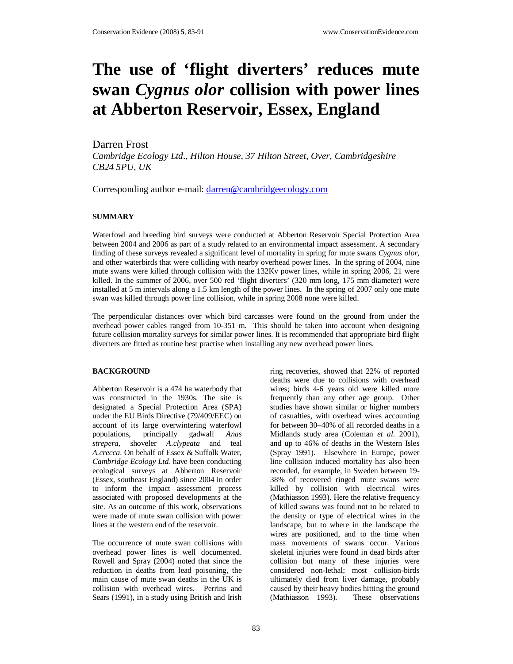# **The use of 'flight diverters' reduces mute swan** *Cygnus olor* **collision with power lines at Abberton Reservoir, Essex, England**

Darren Frost

*Cambridge Ecology Ltd., Hilton House, 37 Hilton Street, Over, Cambridgeshire CB24 5PU, UK*

Corresponding author e-mail: darren@cambridgeecology.com

## **SUMMARY**

Waterfowl and breeding bird surveys were conducted at Abberton Reservoir Special Protection Area between 2004 and 2006 as part of a study related to an environmental impact assessment. A secondary finding of these surveys revealed a significant level of mortality in spring for mute swans *Cygnus olor*, and other waterbirds that were colliding with nearby overhead power lines. In the spring of 2004, nine mute swans were killed through collision with the 132Kv power lines, while in spring 2006, 21 were killed. In the summer of 2006, over 500 red 'flight diverters' (320 mm long, 175 mm diameter) were installed at 5 m intervals along a 1.5 km length of the power lines. In the spring of 2007 only one mute swan was killed through power line collision, while in spring 2008 none were killed.

The perpendicular distances over which bird carcasses were found on the ground from under the overhead power cables ranged from 10-351 m. This should be taken into account when designing future collision mortality surveys for similar power lines. It is recommended that appropriate bird flight diverters are fitted as routine best practise when installing any new overhead power lines.

## **BACKGROUND**

Abberton Reservoir is a 474 ha waterbody that was constructed in the 1930s. The site is designated a Special Protection Area (SPA) under the EU Birds Directive (79/409/EEC) on account of its large overwintering waterfowl populations, principally gadwall *Anas strepera*, shoveler *A.clypeata* and teal *A.crecca*. On behalf of Essex & Suffolk Water, *Cambridge Ecology Ltd.* have been conducting ecological surveys at Abberton Reservoir (Essex, southeast England) since 2004 in order to inform the impact assessment process associated with proposed developments at the site. As an outcome of this work, observations were made of mute swan collision with power lines at the western end of the reservoir.

The occurrence of mute swan collisions with overhead power lines is well documented. Rowell and Spray (2004) noted that since the reduction in deaths from lead poisoning, the main cause of mute swan deaths in the UK is collision with overhead wires. Perrins and Sears (1991), in a study using British and Irish

ring recoveries, showed that 22% of reported deaths were due to collisions with overhead wires; birds 4-6 years old were killed more frequently than any other age group. Other studies have shown similar or higher numbers of casualties, with overhead wires accounting for between 30–40% of all recorded deaths in a Midlands study area (Coleman *et al.* 2001), and up to 46% of deaths in the Western Isles (Spray 1991). Elsewhere in Europe, power line collision induced mortality has also been recorded, for example, in Sweden between 19- 38% of recovered ringed mute swans were killed by collision with electrical wires (Mathiasson 1993). Here the relative frequency of killed swans was found not to be related to the density or type of electrical wires in the landscape, but to where in the landscape the wires are positioned, and to the time when mass movements of swans occur. Various skeletal injuries were found in dead birds after collision but many of these injuries were considered non-lethal; most collision-birds ultimately died from liver damage, probably caused by their heavy bodies hitting the ground (Mathiasson 1993). These observations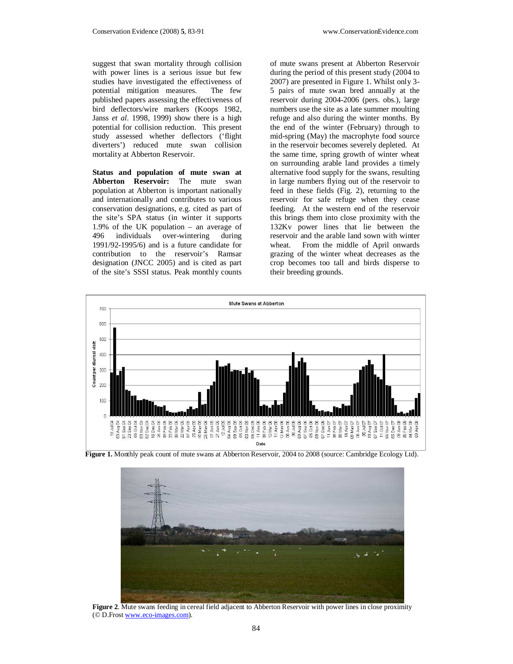suggest that swan mortality through collision with power lines is a serious issue but few studies have investigated the effectiveness of potential mitigation measures. The few published papers assessing the effectiveness of bird deflectors/wire markers (Koops 1982, Janss *et al.* 1998, 1999) show there is a high potential for collision reduction. This present study assessed whether deflectors ('flight diverters') reduced mute swan collision mortality at Abberton Reservoir.

**Status and population of mute swan at Abberton Reservoir:** The mute swan population at Abberton is important nationally and internationally and contributes to various conservation designations, e.g. cited as part of the site's SPA status (in winter it supports 1.9% of the UK population – an average of 496 individuals over-wintering during 1991/92-1995/6) and is a future candidate for contribution to the reservoir's Ramsar designation (JNCC 2005) and is cited as part of the site's SSSI status. Peak monthly counts

of mute swans present at Abberton Reservoir during the period of this present study (2004 to 2007) are presented in Figure 1. Whilst only 3- 5 pairs of mute swan bred annually at the reservoir during 2004-2006 (pers. obs.), large numbers use the site as a late summer moulting refuge and also during the winter months. By the end of the winter (February) through to mid-spring (May) the macrophyte food source in the reservoir becomes severely depleted. At the same time, spring growth of winter wheat on surrounding arable land provides a timely alternative food supply for the swans, resulting in large numbers flying out of the reservoir to feed in these fields (Fig. 2), returning to the reservoir for safe refuge when they cease feeding. At the western end of the reservoir this brings them into close proximity with the 132Kv power lines that lie between the reservoir and the arable land sown with winter wheat. From the middle of April onwards grazing of the winter wheat decreases as the crop becomes too tall and birds disperse to their breeding grounds.



**Figure 1.** Monthly peak count of mute swans at Abberton Reservoir, 2004 to 2008 (source: Cambridge Ecology Ltd).



**Figure 2.** Mute swans feeding in cereal field adjacent to Abberton Reservoir with power lines in close proximity (© D.Frost www.eco-images.com).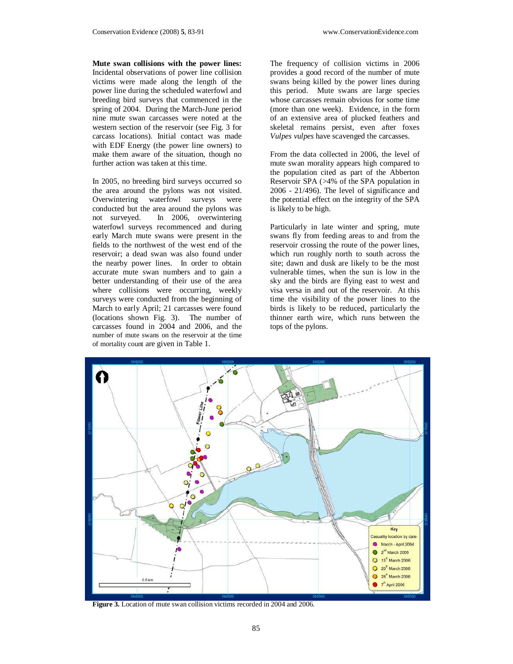**Mute swan collisions with the power lines:**  Incidental observations of power line collision victims were made along the length of the power line during the scheduled waterfowl and breeding bird surveys that commenced in the spring of 2004. During the March-June period nine mute swan carcasses were noted at the western section of the reservoir (see Fig. 3 for carcass locations). Initial contact was made with EDF Energy (the power line owners) to make them aware of the situation, though no further action was taken at this time.

In 2005, no breeding bird surveys occurred so the area around the pylons was not visited.<br>Overwintering waterfowl surveys were Overwintering waterfowl surveys were conducted but the area around the pylons was not surveyed. In 2006, overwintering waterfowl surveys recommenced and during early March mute swans were present in the fields to the northwest of the west end of the reservoir; a dead swan was also found under the nearby power lines. In order to obtain accurate mute swan numbers and to gain a better understanding of their use of the area where collisions were occurring, weekly surveys were conducted from the beginning of March to early April; 21 carcasses were found (locations shown Fig. 3). The number of carcasses found in 2004 and 2006, and the number of mute swans on the reservoir at the time of mortality count are given in Table 1.

The frequency of collision victims in 2006 provides a good record of the number of mute swans being killed by the power lines during this period. Mute swans are large species whose carcasses remain obvious for some time (more than one week). Evidence, in the form of an extensive area of plucked feathers and skeletal remains persist, even after foxes *Vulpes vulpes* have scavenged the carcasses.

From the data collected in 2006, the level of mute swan morality appears high compared to the population cited as part of the Abberton Reservoir SPA (>4% of the SPA population in 2006 - 21/496). The level of significance and the potential effect on the integrity of the SPA is likely to be high.

Particularly in late winter and spring, mute swans fly from feeding areas to and from the reservoir crossing the route of the power lines, which run roughly north to south across the site; dawn and dusk are likely to be the most vulnerable times, when the sun is low in the sky and the birds are flying east to west and visa versa in and out of the reservoir. At this time the visibility of the power lines to the birds is likely to be reduced, particularly the thinner earth wire, which runs between the tops of the pylons.



**Figure 3.** Location of mute swan collision victims recorded in 2004 and 2006.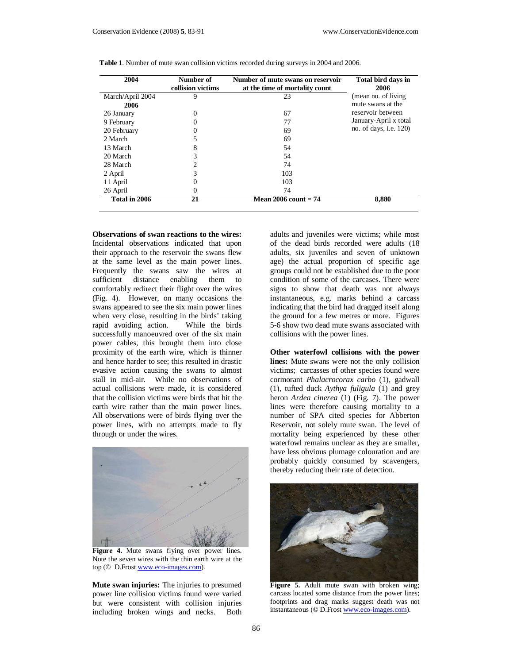| 2004             | Number of<br>collision victims | Number of mute swans on reservoir<br>at the time of mortality count | Total bird days in<br>2006    |
|------------------|--------------------------------|---------------------------------------------------------------------|-------------------------------|
| March/April 2004 | 9                              | 23                                                                  | (mean no. of living)          |
| 2006             |                                |                                                                     | mute swans at the             |
| 26 January       | 0                              | 67                                                                  | reservoir between             |
| 9 February       | 0                              | 77                                                                  | January-April x total         |
| 20 February      | 0                              | 69                                                                  | no. of days, <i>i.e.</i> 120) |
| 2 March          | 5                              | 69                                                                  |                               |
| 13 March         | 8                              | 54                                                                  |                               |
| 20 March         | 3                              | 54                                                                  |                               |
| 28 March         | 2                              | 74                                                                  |                               |
| 2 April          | 3                              | 103                                                                 |                               |
| 11 April         | 0                              | 103                                                                 |                               |
| 26 April         | 0                              | 74                                                                  |                               |
| Total in 2006    | 21                             | Mean $2006$ count = 74                                              | 8,880                         |

**Table 1**. Number of mute swan collision victims recorded during surveys in 2004 and 2006.

**Observations of swan reactions to the wires:** Incidental observations indicated that upon their approach to the reservoir the swans flew at the same level as the main power lines. Frequently the swans saw the wires at sufficient distance enabling them to comfortably redirect their flight over the wires (Fig. 4). However, on many occasions the swans appeared to see the six main power lines when very close, resulting in the birds' taking rapid avoiding action. While the birds successfully manoeuvred over of the six main power cables, this brought them into close proximity of the earth wire, which is thinner and hence harder to see; this resulted in drastic evasive action causing the swans to almost stall in mid-air. While no observations of actual collisions were made, it is considered that the collision victims were birds that hit the earth wire rather than the main power lines. All observations were of birds flying over the power lines, with no attempts made to fly through or under the wires.



Figure 4. Mute swans flying over power lines. Note the seven wires with the thin earth wire at the top (© D.Frost www.eco-images.com).

**Mute swan injuries:** The injuries to presumed power line collision victims found were varied but were consistent with collision injuries including broken wings and necks. Both

adults and juveniles were victims; while most of the dead birds recorded were adults (18 adults, six juveniles and seven of unknown age) the actual proportion of specific age groups could not be established due to the poor condition of some of the carcases. There were signs to show that death was not always instantaneous, e.g. marks behind a carcass indicating that the bird had dragged itself along the ground for a few metres or more. Figures 5-6 show two dead mute swans associated with collisions with the power lines.

**Other waterfowl collisions with the power lines:** Mute swans were not the only collision victims; carcasses of other species found were cormorant *Phalacrocorax carbo* (1), gadwall (1), tufted duck *Aythya fuligula* (1) and grey heron *Ardea cinerea* (1) (Fig. 7). The power lines were therefore causing mortality to a number of SPA cited species for Abberton Reservoir, not solely mute swan. The level of mortality being experienced by these other waterfowl remains unclear as they are smaller, have less obvious plumage colouration and are probably quickly consumed by scavengers, thereby reducing their rate of detection.



**Figure 5.** Adult mute swan with broken wing; carcass located some distance from the power lines; footprints and drag marks suggest death was not instantaneous (© D.Frost www.eco-images.com).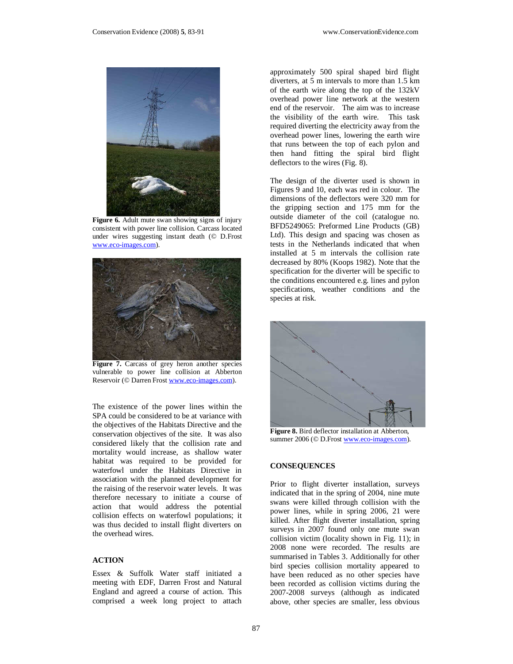

Figure 6. Adult mute swan showing signs of injury consistent with power line collision. Carcass located under wires suggesting instant death (© D.Frost www.eco-images.com).



Figure 7. Carcass of grey heron another species vulnerable to power line collision at Abberton Reservoir (© Darren Frost www.eco-images.com).

The existence of the power lines within the SPA could be considered to be at variance with the objectives of the Habitats Directive and the conservation objectives of the site. It was also considered likely that the collision rate and mortality would increase, as shallow water habitat was required to be provided for waterfowl under the Habitats Directive in association with the planned development for the raising of the reservoir water levels. It was therefore necessary to initiate a course of action that would address the potential collision effects on waterfowl populations; it was thus decided to install flight diverters on the overhead wires.

#### **ACTION**

Essex & Suffolk Water staff initiated a meeting with EDF, Darren Frost and Natural England and agreed a course of action. This comprised a week long project to attach

approximately 500 spiral shaped bird flight diverters, at 5 m intervals to more than 1.5 km of the earth wire along the top of the 132kV overhead power line network at the western end of the reservoir. The aim was to increase the visibility of the earth wire. This task required diverting the electricity away from the overhead power lines, lowering the earth wire that runs between the top of each pylon and then hand fitting the spiral bird flight deflectors to the wires (Fig. 8).

The design of the diverter used is shown in Figures 9 and 10, each was red in colour. The dimensions of the deflectors were 320 mm for the gripping section and 175 mm for the outside diameter of the coil (catalogue no. BFD5249065: Preformed Line Products (GB) Ltd). This design and spacing was chosen as tests in the Netherlands indicated that when installed at 5 m intervals the collision rate decreased by 80% (Koops 1982). Note that the specification for the diverter will be specific to the conditions encountered e.g. lines and pylon specifications, weather conditions and the species at risk.



**Figure 8.** Bird deflector installation at Abberton, summer 2006 (© D.Frost www.eco-images.com).

#### **CONSEQUENCES**

Prior to flight diverter installation, surveys indicated that in the spring of 2004, nine mute swans were killed through collision with the power lines, while in spring 2006, 21 were killed. After flight diverter installation, spring surveys in 2007 found only one mute swan collision victim (locality shown in Fig. 11); in 2008 none were recorded. The results are summarised in Tables 3. Additionally for other bird species collision mortality appeared to have been reduced as no other species have been recorded as collision victims during the 2007-2008 surveys (although as indicated above, other species are smaller, less obvious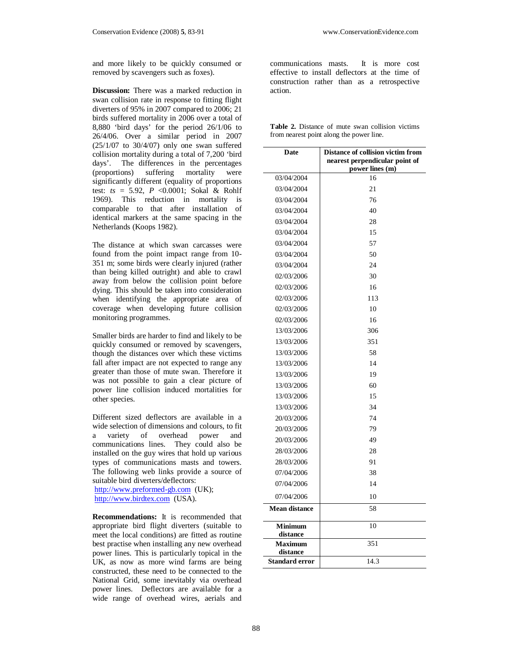and more likely to be quickly consumed or removed by scavengers such as foxes).

**Discussion:** There was a marked reduction in swan collision rate in response to fitting flight diverters of 95% in 2007 compared to 2006; 21 birds suffered mortality in 2006 over a total of 8,880 'bird days' for the period 26/1/06 to 26/4/06. Over a similar period in 2007 (25/1/07 to 30/4/07) only one swan suffered collision mortality during a total of 7,200 'bird days'. The differences in the percentages (proportions) suffering mortality were significantly different (equality of proportions) test: *ts* = 5.92, *P* <0.0001; Sokal & Rohlf 1969). This reduction in mortality is comparable to that after installation of identical markers at the same spacing in the Netherlands (Koops 1982).

The distance at which swan carcasses were found from the point impact range from 10- 351 m; some birds were clearly injured (rather than being killed outright) and able to crawl away from below the collision point before dying. This should be taken into consideration when identifying the appropriate area of coverage when developing future collision monitoring programmes.

Smaller birds are harder to find and likely to be quickly consumed or removed by scavengers, though the distances over which these victims fall after impact are not expected to range any greater than those of mute swan. Therefore it was not possible to gain a clear picture of power line collision induced mortalities for other species.

Different sized deflectors are available in a wide selection of dimensions and colours, to fit a variety of overhead power and communications lines. They could also be installed on the guy wires that hold up various types of communications masts and towers. The following web links provide a source of suitable bird diverters/deflectors:

http://www.preformed-gb.com (UK); http://www.birdtex.com (USA).

**Recommendations:** It is recommended that appropriate bird flight diverters (suitable to meet the local conditions) are fitted as routine best practise when installing any new overhead power lines. This is particularly topical in the UK, as now as more wind farms are being constructed, these need to be connected to the National Grid, some inevitably via overhead power lines. Deflectors are available for a wide range of overhead wires, aerials and

communications masts. It is more cost effective to install deflectors at the time of construction rather than as a retrospective action.

|  |                                          |  | <b>Table 2.</b> Distance of mute swan collision victims |  |
|--|------------------------------------------|--|---------------------------------------------------------|--|
|  | from nearest point along the power line. |  |                                                         |  |

| Date                       | Distance of collision victim from<br>nearest perpendicular point of<br>power lines (m) |  |  |
|----------------------------|----------------------------------------------------------------------------------------|--|--|
| 03/04/2004                 | 16                                                                                     |  |  |
| 03/04/2004                 | 21                                                                                     |  |  |
| 03/04/2004                 | 76                                                                                     |  |  |
| 03/04/2004                 | 40                                                                                     |  |  |
| 03/04/2004                 | 28                                                                                     |  |  |
| 03/04/2004                 | 15                                                                                     |  |  |
| 03/04/2004                 | 57                                                                                     |  |  |
| 03/04/2004                 | 50                                                                                     |  |  |
| 03/04/2004                 | 24                                                                                     |  |  |
| 02/03/2006                 | 30                                                                                     |  |  |
| 02/03/2006                 | 16                                                                                     |  |  |
| 02/03/2006                 | 113                                                                                    |  |  |
| 02/03/2006                 | 10                                                                                     |  |  |
| 02/03/2006                 | 16                                                                                     |  |  |
| 13/03/2006                 | 306                                                                                    |  |  |
| 13/03/2006                 | 351                                                                                    |  |  |
| 13/03/2006                 | 58                                                                                     |  |  |
| 13/03/2006                 | 14                                                                                     |  |  |
| 13/03/2006                 | 19                                                                                     |  |  |
| 13/03/2006                 | 60                                                                                     |  |  |
| 13/03/2006                 | 15                                                                                     |  |  |
| 13/03/2006                 | 34                                                                                     |  |  |
| 20/03/2006                 | 74                                                                                     |  |  |
| 20/03/2006                 | 79                                                                                     |  |  |
| 20/03/2006                 | 49                                                                                     |  |  |
| 28/03/2006                 | 28                                                                                     |  |  |
| 28/03/2006                 | 91                                                                                     |  |  |
| 07/04/2006                 | 38                                                                                     |  |  |
| 07/04/2006                 | 14                                                                                     |  |  |
| 07/04/2006                 | 10                                                                                     |  |  |
| <b>Mean distance</b>       | 58                                                                                     |  |  |
| <b>Minimum</b><br>distance | 10                                                                                     |  |  |
| Maximum<br>distance        | 351                                                                                    |  |  |
| <b>Standard error</b>      | 14.3                                                                                   |  |  |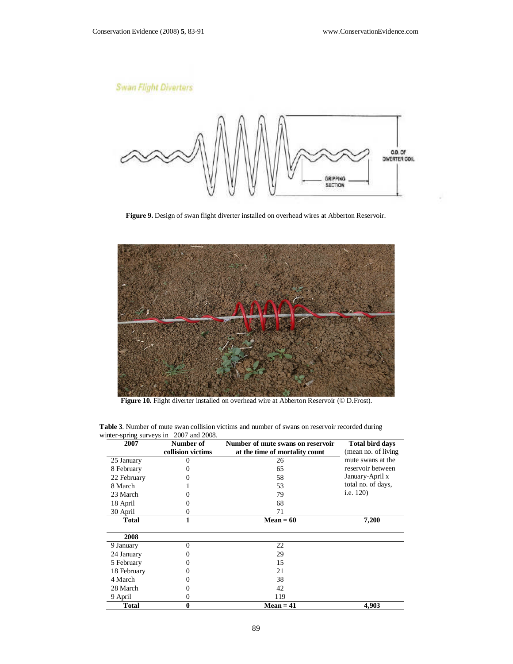# **Swan Flight Diverters**



**Figure 9.** Design of swan flight diverter installed on overhead wires at Abberton Reservoir.



 **Figure 10.** Flight diverter installed on overhead wire at Abberton Reservoir (© D.Frost).

| 2007         | Number of         | Number of mute swans on reservoir | <b>Total bird days</b> |
|--------------|-------------------|-----------------------------------|------------------------|
|              | collision victims | at the time of mortality count    | (mean no. of living)   |
| 25 January   | 0                 | 26                                | mute swans at the      |
| 8 February   |                   | 65                                | reservoir between      |
| 22 February  |                   | 58                                | January-April x        |
| 8 March      |                   | 53                                | total no. of days,     |
| 23 March     |                   | 79                                | i.e. 120)              |
| 18 April     |                   | 68                                |                        |
| 30 April     | 0                 | 71                                |                        |
| <b>Total</b> | 1                 | $Mean = 60$                       | 7,200                  |
|              |                   |                                   |                        |
| 2008         |                   |                                   |                        |
| 9 January    | $\Omega$          | 22                                |                        |
| 24 January   |                   | 29                                |                        |
| 5 February   | 0                 | 15                                |                        |
| 18 February  | $_{0}$            | 21                                |                        |
| 4 March      | 0                 | 38                                |                        |
| 28 March     | 0                 | 42                                |                        |
| 9 April      | 0                 | 119                               |                        |
| <b>Total</b> | $\bf{0}$          | <b>Mean = 41</b>                  | 4,903                  |

**Table 3**. Number of mute swan collision victims and number of swans on reservoir recorded during winter-spring surveys in 2007 and 2008.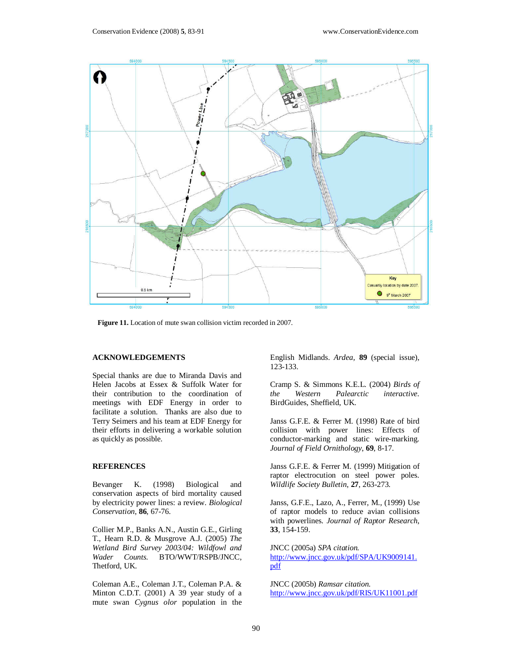

 **Figure 11.** Location of mute swan collision victim recorded in 2007.

#### **ACKNOWLEDGEMENTS**

Special thanks are due to Miranda Davis and Helen Jacobs at Essex & Suffolk Water for their contribution to the coordination of meetings with EDF Energy in order to facilitate a solution. Thanks are also due to Terry Seimers and his team at EDF Energy for their efforts in delivering a workable solution as quickly as possible.

#### **REFERENCES**

Bevanger K. (1998) Biological and conservation aspects of bird mortality caused by electricity power lines: a review. *Biological Conservation*, **86**, 67-76.

Collier M.P., Banks A.N., Austin G.E., Girling T., Hearn R.D. & Musgrove A.J. (2005) *The Wetland Bird Survey 2003/04: Wildfowl and Wader Counts.* BTO/WWT/RSPB/JNCC, Thetford, UK.

Coleman A.E., Coleman J.T., Coleman P.A. & Minton C.D.T. (2001) A 39 year study of a mute swan *Cygnus olor* population in the English Midlands. *Ardea,* **89** (special issue), 123-133.

Cramp S. & Simmons K.E.L. (2004) *Birds of the Western Palearctic interactive*. BirdGuides, Sheffield, UK.

Janss G.F.E. & Ferrer M. (1998) Rate of bird collision with power lines: Effects of conductor-marking and static wire-marking. *Journal of Field Ornithology*, **69**, 8-17.

Janss G.F.E. & Ferrer M. (1999) Mitigation of raptor electrocution on steel power poles. *Wildlife Society Bulletin*, **27**, 263-273.

Janss, G.F.E., Lazo, A., Ferrer, M., (1999) Use of raptor models to reduce avian collisions with powerlines*. Journal of Raptor Research*, **33**, 154-159.

JNCC (2005a) *SPA citation.*  http://www.jncc.gov.uk/pdf/SPA/UK9009141. pdf

JNCC (2005b) *Ramsar citation.*  http://www.jncc.gov.uk/pdf/RIS/UK11001.pdf